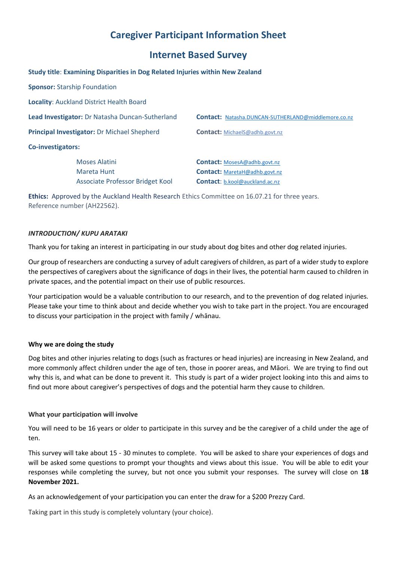# **Caregiver Participant Information Sheet**

# **Internet Based Survey**

**Study title**: **Examining Disparities in Dog Related Injuries within New Zealand**

|                                                 | <b>Sponsor: Starship Foundation</b>      |                                                            |
|-------------------------------------------------|------------------------------------------|------------------------------------------------------------|
|                                                 | Locality: Auckland District Health Board |                                                            |
| Lead Investigator: Dr Natasha Duncan-Sutherland |                                          | <b>Contact: Natasha.DUNCAN-SUTHERLAND@middlemore.co.nz</b> |
| Principal Investigator: Dr Michael Shepherd     |                                          | <b>Contact:</b> MichaelS@adhb.govt.nz                      |
| Co-investigators:                               |                                          |                                                            |
|                                                 | Moses Alatini                            | <b>Contact:</b> MosesA@adhb.govt.nz                        |
|                                                 | Mareta Hunt                              | <b>Contact:</b> MaretaH@adhb.govt.nz                       |
|                                                 | Associate Professor Bridget Kool         | <b>Contact:</b> b.kool@auckland.ac.nz                      |

**Ethics:** Approved by the Auckland Health Research Ethics Committee on 16.07.21 for three years. Reference number (AH22562).

## *INTRODUCTION/ KUPU ARATAKI*

Thank you for taking an interest in participating in our study about dog bites and other dog related injuries.

Our group of researchers are conducting a survey of adult caregivers of children, as part of a wider study to explore the perspectives of caregivers about the significance of dogs in their lives, the potential harm caused to children in private spaces, and the potential impact on their use of public resources.

Your participation would be a valuable contribution to our research, and to the prevention of dog related injuries. Please take your time to think about and decide whether you wish to take part in the project. You are encouraged to discuss your participation in the project with family / whānau.

## **Why we are doing the study**

Dog bites and other injuries relating to dogs (such as fractures or head injuries) are increasing in New Zealand, and more commonly affect children under the age of ten, those in poorer areas, and Māori. We are trying to find out why this is, and what can be done to prevent it. This study is part of a wider project looking into this and aims to find out more about caregiver's perspectives of dogs and the potential harm they cause to children.

## **What your participation will involve**

You will need to be 16 years or older to participate in this survey and be the caregiver of a child under the age of ten.

This survey will take about 15 - 30 minutes to complete. You will be asked to share your experiences of dogs and will be asked some questions to prompt your thoughts and views about this issue. You will be able to edit your responses while completing the survey, but not once you submit your responses. The survey will close on **18 November 2021.**

As an acknowledgement of your participation you can enter the draw for a \$200 Prezzy Card.

Taking part in this study is completely voluntary (your choice).